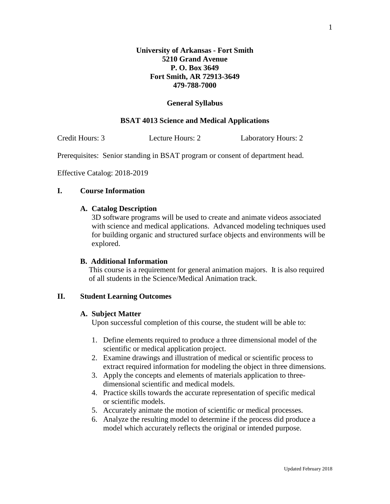# **General Syllabus**

# **BSAT 4013 Science and Medical Applications**

Credit Hours: 3 Lecture Hours: 2 Laboratory Hours: 2

Prerequisites: Senior standing in BSAT program or consent of department head.

Effective Catalog: 2018-2019

# **I. Course Information**

# **A. Catalog Description**

3D software programs will be used to create and animate videos associated with science and medical applications. Advanced modeling techniques used for building organic and structured surface objects and environments will be explored.

# **B. Additional Information**

This course is a requirement for general animation majors. It is also required of all students in the Science/Medical Animation track.

#### **II. Student Learning Outcomes**

#### **A. Subject Matter**

Upon successful completion of this course, the student will be able to:

- 1. Define elements required to produce a three dimensional model of the scientific or medical application project.
- 2. Examine drawings and illustration of medical or scientific process to extract required information for modeling the object in three dimensions.
- 3. Apply the concepts and elements of materials application to threedimensional scientific and medical models.
- 4. Practice skills towards the accurate representation of specific medical or scientific models.
- 5. Accurately animate the motion of scientific or medical processes.
- 6. Analyze the resulting model to determine if the process did produce a model which accurately reflects the original or intended purpose.